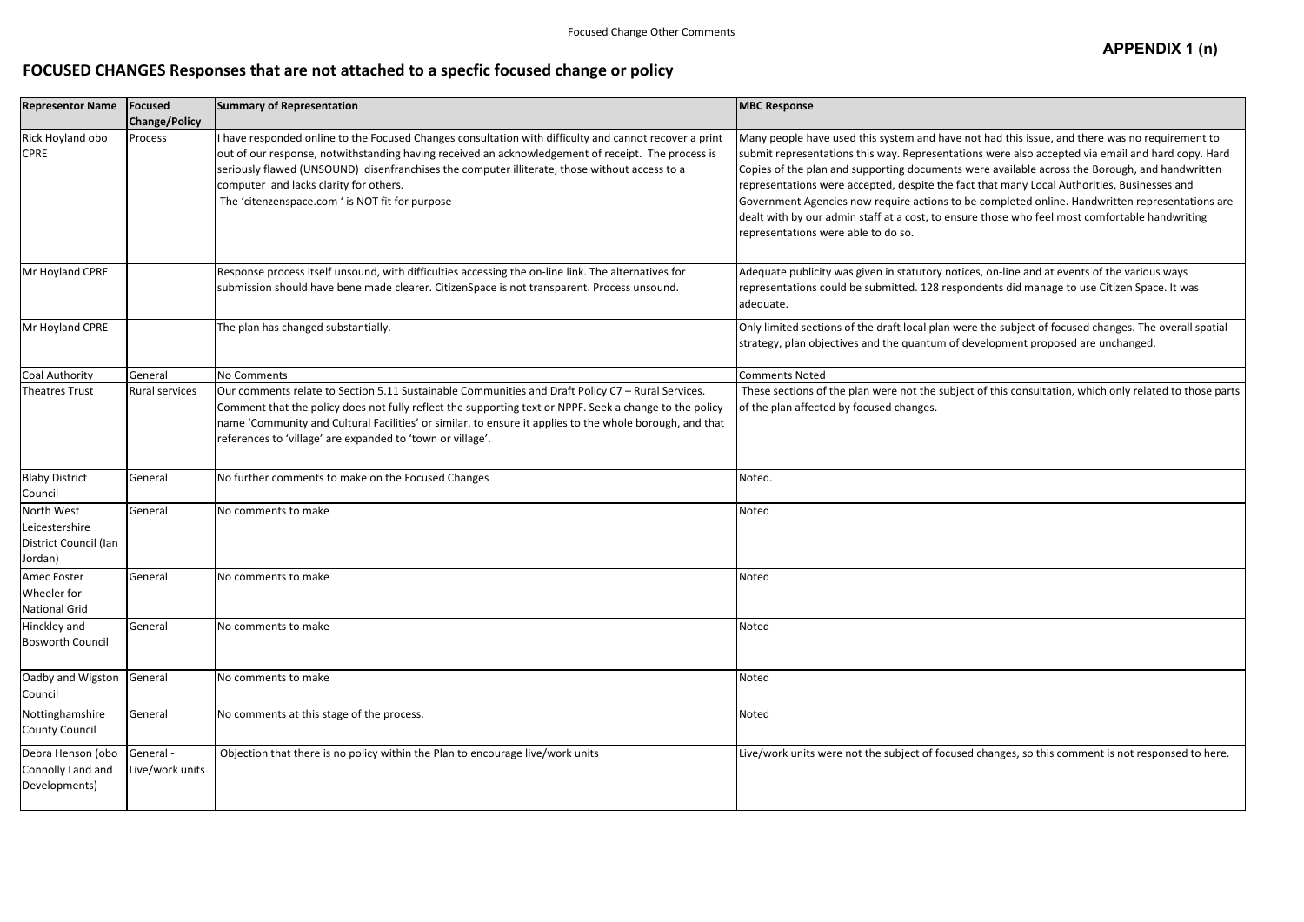## **FOCUSED CHANGES Responses that are not attached to a specfic focused change or policy**

| <b>Representor Name</b>                                          | Focused<br><b>Change/Policy</b> | <b>Summary of Representation</b>                                                                                                                                                                                                                                                                                                                                                                           | <b>MBC Response</b>                                                                                                                                                                                                                                                                                                                                           |
|------------------------------------------------------------------|---------------------------------|------------------------------------------------------------------------------------------------------------------------------------------------------------------------------------------------------------------------------------------------------------------------------------------------------------------------------------------------------------------------------------------------------------|---------------------------------------------------------------------------------------------------------------------------------------------------------------------------------------------------------------------------------------------------------------------------------------------------------------------------------------------------------------|
| Rick Hoyland obo<br><b>CPRE</b>                                  | Process                         | I have responded online to the Focused Changes consultation with difficulty and cannot recover a print<br>out of our response, notwithstanding having received an acknowledgement of receipt. The process is<br>seriously flawed (UNSOUND) disenfranchises the computer illiterate, those without access to a<br>computer and lacks clarity for others.<br>The 'citenzenspace.com ' is NOT fit for purpose | Many people have used this system and have not<br>submit representations this way. Representations<br>Copies of the plan and supporting documents wer<br>representations were accepted, despite the fact th<br>Government Agencies now require actions to be c<br>dealt with by our admin staff at a cost, to ensure t<br>representations were able to do so. |
| Mr Hoyland CPRE                                                  |                                 | Response process itself unsound, with difficulties accessing the on-line link. The alternatives for<br>submission should have bene made clearer. CitizenSpace is not transparent. Process unsound.                                                                                                                                                                                                         | Adequate publicity was given in statutory notices,<br>representations could be submitted. 128 responde<br>adequate.                                                                                                                                                                                                                                           |
| Mr Hoyland CPRE                                                  |                                 | The plan has changed substantially.                                                                                                                                                                                                                                                                                                                                                                        | Only limited sections of the draft local plan were t<br>strategy, plan objectives and the quantum of deve                                                                                                                                                                                                                                                     |
| Coal Authority                                                   | General                         | <b>No Comments</b>                                                                                                                                                                                                                                                                                                                                                                                         | <b>Comments Noted</b>                                                                                                                                                                                                                                                                                                                                         |
| <b>Theatres Trust</b>                                            | <b>Rural services</b>           | Our comments relate to Section 5.11 Sustainable Communities and Draft Policy C7 - Rural Services.<br>Comment that the policy does not fully reflect the supporting text or NPPF. Seek a change to the policy<br>name 'Community and Cultural Facilities' or similar, to ensure it applies to the whole borough, and that<br>references to 'village' are expanded to 'town or village'.                     | These sections of the plan were not the subject of<br>of the plan affected by focused changes.                                                                                                                                                                                                                                                                |
| <b>Blaby District</b><br>Council                                 | General                         | No further comments to make on the Focused Changes                                                                                                                                                                                                                                                                                                                                                         | Noted.                                                                                                                                                                                                                                                                                                                                                        |
| North West<br>Leicestershire<br>District Council (Ian<br>Jordan) | General                         | No comments to make                                                                                                                                                                                                                                                                                                                                                                                        | Noted                                                                                                                                                                                                                                                                                                                                                         |
| Amec Foster<br>Wheeler for<br><b>National Grid</b>               | General                         | No comments to make                                                                                                                                                                                                                                                                                                                                                                                        | Noted                                                                                                                                                                                                                                                                                                                                                         |
| Hinckley and<br><b>Bosworth Council</b>                          | General                         | No comments to make                                                                                                                                                                                                                                                                                                                                                                                        | Noted                                                                                                                                                                                                                                                                                                                                                         |
| Oadby and Wigston<br>Council                                     | General                         | No comments to make                                                                                                                                                                                                                                                                                                                                                                                        | Noted                                                                                                                                                                                                                                                                                                                                                         |
| Nottinghamshire<br><b>County Council</b>                         | General                         | No comments at this stage of the process.                                                                                                                                                                                                                                                                                                                                                                  | Noted                                                                                                                                                                                                                                                                                                                                                         |
| Debra Henson (obo<br>Connolly Land and<br>Developments)          | General -<br>Live/work units    | Objection that there is no policy within the Plan to encourage live/work units                                                                                                                                                                                                                                                                                                                             | Live/work units were not the subject of focused ch                                                                                                                                                                                                                                                                                                            |

## **APPENDIX 1 (n)**

had this issue, and there was no requirement to submit ware also accepted via email and hard copy. Hard re available across the Borough, and handwritten hat many Local Authorities, Businesses and completed online. Handwritten representations are those who feel most comfortable handwriting

on-line and at events of the various ways lents did manage to use Citizen Space. It was

the subject of focused changes. The overall spatial slopment proposed are unchanged.

of this consultation, which only related to those parts

hanges, so this comment is not responsed to here.